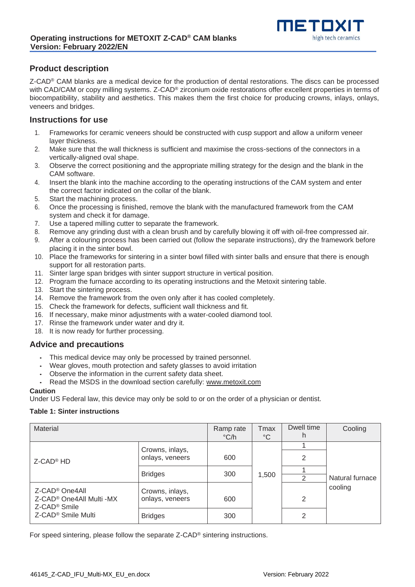

## **Product description**

Z-CAD® CAM blanks are a medical device for the production of dental restorations. The discs can be processed with CAD/CAM or copy milling systems. Z-CAD<sup>®</sup> zirconium oxide restorations offer excellent properties in terms of biocompatibility, stability and aesthetics. This makes them the first choice for producing crowns, inlays, onlays, veneers and bridges.

## **Instructions for use**

- 1. Frameworks for ceramic veneers should be constructed with cusp support and allow a uniform veneer layer thickness.
- 2. Make sure that the wall thickness is sufficient and maximise the cross-sections of the connectors in a vertically-aligned oval shape.
- 3. Observe the correct positioning and the appropriate milling strategy for the design and the blank in the CAM software.
- 4. Insert the blank into the machine according to the operating instructions of the CAM system and enter the correct factor indicated on the collar of the blank.
- 5. Start the machining process.
- 6. Once the processing is finished, remove the blank with the manufactured framework from the CAM system and check it for damage.
- 7. Use a tapered milling cutter to separate the framework.
- 8. Remove any grinding dust with a clean brush and by carefully blowing it off with oil-free compressed air.
- 9. After a colouring process has been carried out (follow the separate instructions), dry the framework before placing it in the sinter bowl.
- 10. Place the frameworks for sintering in a sinter bowl filled with sinter balls and ensure that there is enough support for all restoration parts.
- 11. Sinter large span bridges with sinter support structure in vertical position.
- 12. Program the furnace according to its operating instructions and the Metoxit sintering table.
- 13. Start the sintering process.
- 14. Remove the framework from the oven only after it has cooled completely.
- 15. Check the framework for defects, sufficient wall thickness and fit.
- 16. If necessary, make minor adjustments with a water-cooled diamond tool.
- 17. Rinse the framework under water and dry it.
- 18. It is now ready for further processing.

## **Advice and precautions**

- This medical device may only be processed by trained personnel.
- Wear gloves, mouth protection and safety glasses to avoid irritation
- Observe the information in the current safety data sheet.
- Read the MSDS in the download section carefully: [www.metoxit.com](http://www.metoxit.com/)

#### **Caution**

Under US Federal law, this device may only be sold to or on the order of a physician or dentist.

#### **Table 1: Sinter instructions**

| Material                                                                                                                         | Ramp rate<br>$\degree$ C/h         | <b>T</b> max<br>$\rm ^{\circ}C$ | Dwell time<br>h         | Cooling |                 |
|----------------------------------------------------------------------------------------------------------------------------------|------------------------------------|---------------------------------|-------------------------|---------|-----------------|
| Z-CAD <sup>®</sup> HD                                                                                                            | Crowns, inlays,<br>onlays, veneers | 600                             |                         | 2       |                 |
|                                                                                                                                  | <b>Bridges</b>                     | 300                             | 1,500<br>$\overline{2}$ |         | Natural furnace |
| Z-CAD <sup>®</sup> One4All<br>Z-CAD <sup>®</sup> One4All Multi -MX<br>Z-CAD <sup>®</sup> Smile<br>Z-CAD <sup>®</sup> Smile Multi | Crowns, inlays,<br>onlays, veneers | 600                             |                         | 2       | cooling         |
|                                                                                                                                  | <b>Bridges</b>                     | 300                             |                         | 2       |                 |

For speed sintering, please follow the separate Z-CAD® sintering instructions.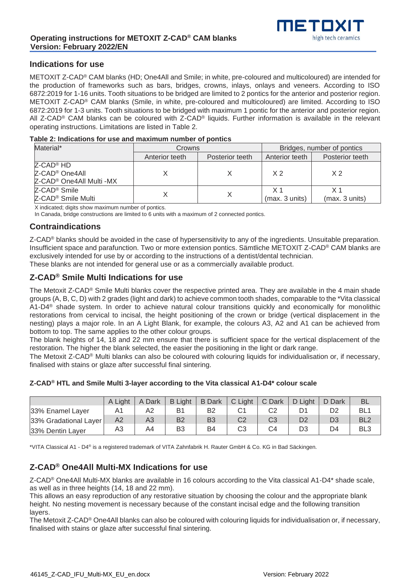

## **Indications for use**

METOXIT Z-CAD® CAM blanks (HD; One4All and Smile; in white, pre-coloured and multicoloured) are intended for the production of frameworks such as bars, bridges, crowns, inlays, onlays and veneers. According to ISO 6872:2019 for 1-16 units. Tooth situations to be bridged are limited to 2 pontics for the anterior and posterior region. METOXIT Z-CAD® CAM blanks (Smile, in white, pre-coloured and multicoloured) are limited. According to ISO 6872:2019 for 1-3 units. Tooth situations to be bridged with maximum 1 pontic for the anterior and posterior region. All Z-CAD® CAM blanks can be coloured with Z-CAD® liquids. Further information is available in the relevant operating instructions. Limitations are listed in Table 2.

#### **Table 2: Indications for use and maximum number of pontics**

| Material*                            | Crowns         |                 | Bridges, number of pontics |                 |  |  |
|--------------------------------------|----------------|-----------------|----------------------------|-----------------|--|--|
|                                      | Anterior teeth | Posterior teeth | Anterior teeth             | Posterior teeth |  |  |
| Z-CAD <sup>®</sup> HD                |                |                 |                            |                 |  |  |
| Z-CAD <sup>®</sup> One4All           |                |                 | X <sub>2</sub>             | X <sub>2</sub>  |  |  |
| Z-CAD <sup>®</sup> One4All Multi -MX |                |                 |                            |                 |  |  |
| Z-CAD <sup>®</sup> Smile             |                |                 | $\times$ 1                 | X 1             |  |  |
| Z-CAD <sup>®</sup> Smile Multi       |                |                 | (max. 3 units)             | (max. 3 units)  |  |  |

X indicated; digits show maximum number of pontics.

In Canada, bridge constructions are limited to 6 units with a maximum of 2 connected pontics.

## **Contraindications**

Z-CAD<sup>®</sup> blanks should be avoided in the case of hypersensitivity to any of the ingredients. Unsuitable preparation. Insufficient space and parafunction. Two or more extension pontics. Sämtliche METOXIT Z-CAD® CAM blanks are exclusively intended for use by or according to the instructions of a dentist/dental technician. These blanks are not intended for general use or as a commercially available product.

## **Z-CAD® Smile Multi Indications for use**

The Metoxit Z-CAD® Smile Multi blanks cover the respective printed area. They are available in the 4 main shade groups (A, B, C, D) with 2 grades (light and dark) to achieve common tooth shades, comparable to the \*Vita classical A1-D4® shade system. In order to achieve natural colour transitions quickly and economically for monolithic restorations from cervical to incisal, the height positioning of the crown or bridge (vertical displacement in the nesting) plays a major role. In an A Light Blank, for example, the colours A3, A2 and A1 can be achieved from bottom to top. The same applies to the other colour groups.

The blank heights of 14, 18 and 22 mm ensure that there is sufficient space for the vertical displacement of the restoration. The higher the blank selected, the easier the positioning in the light or dark range.

The Metoxit Z-CAD® Multi blanks can also be coloured with colouring liquids for individualisation or, if necessary, finalised with stains or glaze after successful final sintering.

### **Z-CAD® HTL and Smile Multi 3-layer according to the Vita classical A1-D4\* colour scale**

|                       | A Light | A Dark | <b>B</b> Light | <b>B</b> Dark  | C Light | C Dark         | D Light | D Dark | <b>BL</b>       |
|-----------------------|---------|--------|----------------|----------------|---------|----------------|---------|--------|-----------------|
| 33% Enamel Layer      | n і     | A2     |                | B <sub>2</sub> |         | C2             |         | D2     | BL1             |
| 33% Gradational Layer | A2      | A3     | B <sub>2</sub> | B <sub>3</sub> | C2      | C <sub>3</sub> | D2      | D3     | BL <sub>2</sub> |
| 33% Dentin Layer      | A3      | A4     | B3             | B4             | C3      | C4             | DЗ      | D4     | BL <sub>3</sub> |

\*VITA Classical A1 - D4® is a registered trademark of VITA Zahnfabrik H. Rauter GmbH & Co. KG in Bad Säckingen.

## **Z-CAD® One4All Multi-MX Indications for use**

Z-CAD® One4All Multi-MX blanks are available in 16 colours according to the Vita classical A1-D4\* shade scale, as well as in three heights (14, 18 and 22 mm).

This allows an easy reproduction of any restorative situation by choosing the colour and the appropriate blank height. No nesting movement is necessary because of the constant incisal edge and the following transition layers.

The Metoxit Z-CAD® One4All blanks can also be coloured with colouring liquids for individualisation or, if necessary, finalised with stains or glaze after successful final sintering.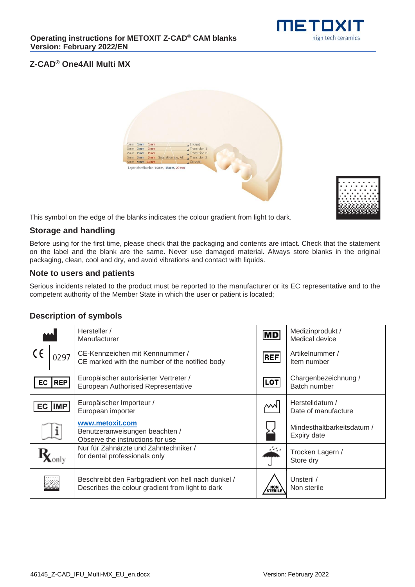

# **Z-CAD® One4All Multi MX**





This symbol on the edge of the blanks indicates the colour gradient from light to dark.

## **Storage and handling**

Before using for the first time, please check that the packaging and contents are intact. Check that the statement on the label and the blank are the same. Never use damaged material. Always store blanks in the original packaging, clean, cool and dry, and avoid vibrations and contact with liquids.

## **Note to users and patients**

Serious incidents related to the product must be reported to the manufacturer or its EC representative and to the competent authority of the Member State in which the user or patient is located;

# **Description of symbols**

|            |            | Hersteller /<br>Manufacturer                                                                           | MD                 | Medizinprodukt /<br>Medical device        |
|------------|------------|--------------------------------------------------------------------------------------------------------|--------------------|-------------------------------------------|
| $\epsilon$ | 0297       | CE-Kennzeichen mit Kennnummer /<br>CE marked with the number of the notified body                      | <b>REF</b>         | Artikelnummer /<br>Item number            |
| EC         | <b>REP</b> | Europäischer autorisierter Vertreter /<br>European Authorised Representative                           | <b>LOT</b>         | Chargenbezeichnung /<br>Batch number      |
| EC         | <b>IMP</b> | Europäischer Importeur /<br>European importer                                                          | МW                 | Herstelldatum /<br>Date of manufacture    |
|            |            | www.metoxit.com<br>Benutzeranweisungen beachten /<br>Observe the instructions for use                  |                    | Mindesthaltbarkeitsdatum /<br>Expiry date |
|            |            | Nur für Zahnärzte und Zahntechniker /<br>for dental professionals only                                 |                    | Trocken Lagern /<br>Store dry             |
|            |            | Beschreibt den Farbgradient von hell nach dunkel /<br>Describes the colour gradient from light to dark | / NON \<br>STERILE | Unsteril /<br>Non sterile                 |